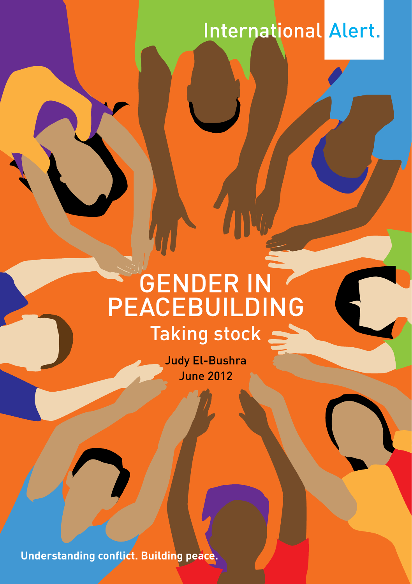# International Alert.

# Gender in **PEACEBUILDING** Taking stock \_

Judy El-Bushra June 2012

**Understanding conflict. Building peace.**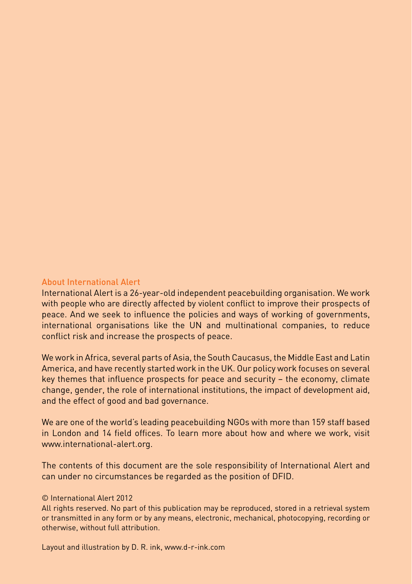#### About International Alert

International Alert is a 26-year-old independent peacebuilding organisation. We work with people who are directly affected by violent conflict to improve their prospects of peace. And we seek to influence the policies and ways of working of governments, international organisations like the UN and multinational companies, to reduce conflict risk and increase the prospects of peace.

We work in Africa, several parts of Asia, the South Caucasus, the Middle East and Latin America, and have recently started work in the UK. Our policy work focuses on several key themes that influence prospects for peace and security – the economy, climate change, gender, the role of international institutions, the impact of development aid, and the effect of good and bad governance.

We are one of the world's leading peacebuilding NGOs with more than 159 staff based in London and 14 field offices. To learn more about how and where we work, visit www.international-alert.org.

The contents of this document are the sole responsibility of International Alert and can under no circumstances be regarded as the position of DFID.

#### © International Alert 2012

All rights reserved. No part of this publication may be reproduced, stored in a retrieval system or transmitted in any form or by any means, electronic, mechanical, photocopying, recording or otherwise, without full attribution.

Layout and illustration by D. R. ink, www.d-r-ink.com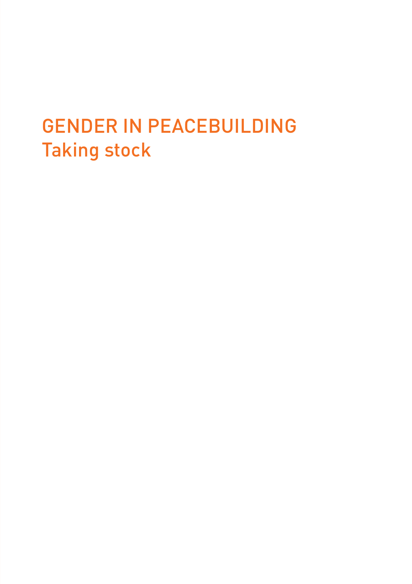# Gender in Peacebuilding Taking stock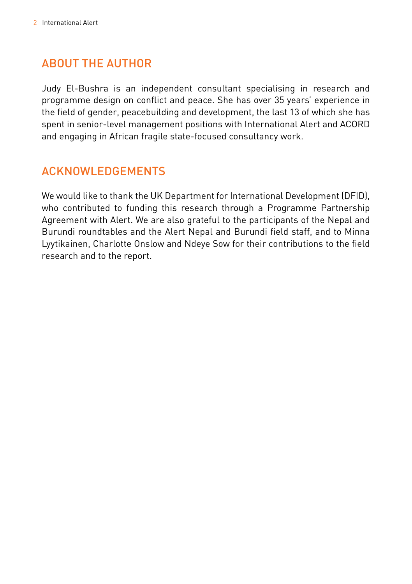# About the author

Judy El-Bushra is an independent consultant specialising in research and programme design on conflict and peace. She has over 35 years' experience in the field of gender, peacebuilding and development, the last 13 of which she has spent in senior-level management positions with International Alert and ACORD and engaging in African fragile state-focused consultancy work.

# ACKNOWLEDGEMENTS

We would like to thank the UK Department for International Development (DFID), who contributed to funding this research through a Programme Partnership Agreement with Alert. We are also grateful to the participants of the Nepal and Burundi roundtables and the Alert Nepal and Burundi field staff, and to Minna Lyytikainen, Charlotte Onslow and Ndeye Sow for their contributions to the field research and to the report.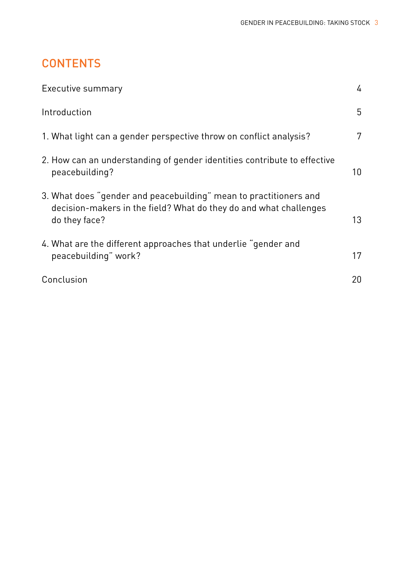# **CONTENTS**

| Executive summary                                                                                                                                       | 4               |
|---------------------------------------------------------------------------------------------------------------------------------------------------------|-----------------|
| Introduction                                                                                                                                            | 5               |
| 1. What light can a gender perspective throw on conflict analysis?                                                                                      | 7               |
| 2. How can an understanding of gender identities contribute to effective<br>peacebuilding?                                                              | 10 <sup>°</sup> |
| 3. What does "gender and peacebuilding" mean to practitioners and<br>decision-makers in the field? What do they do and what challenges<br>do they face? | 13              |
| 4. What are the different approaches that underlie "gender and<br>peacebuilding" work?                                                                  | 17              |
| Conclusion                                                                                                                                              | 20              |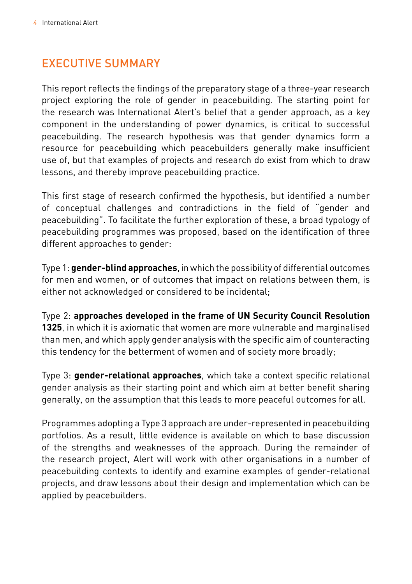# Executive Summary

This report reflects the findings of the preparatory stage of a three-year research project exploring the role of gender in peacebuilding. The starting point for the research was International Alert's belief that a gender approach, as a key component in the understanding of power dynamics, is critical to successful peacebuilding. The research hypothesis was that gender dynamics form a resource for peacebuilding which peacebuilders generally make insufficient use of, but that examples of projects and research do exist from which to draw lessons, and thereby improve peacebuilding practice.

This first stage of research confirmed the hypothesis, but identified a number of conceptual challenges and contradictions in the field of "gender and peacebuilding". To facilitate the further exploration of these, a broad typology of peacebuilding programmes was proposed, based on the identification of three different approaches to gender:

Type 1: **gender-blind approaches**, in which the possibility of differential outcomes for men and women, or of outcomes that impact on relations between them, is either not acknowledged or considered to be incidental;

Type 2: **approaches developed in the frame of UN Security Council Resolution 1325**, in which it is axiomatic that women are more vulnerable and marginalised than men, and which apply gender analysis with the specific aim of counteracting this tendency for the betterment of women and of society more broadly;

Type 3: **gender-relational approaches**, which take a context specific relational gender analysis as their starting point and which aim at better benefit sharing generally, on the assumption that this leads to more peaceful outcomes for all.

Programmes adopting a Type 3 approach are under-represented in peacebuilding portfolios. As a result, little evidence is available on which to base discussion of the strengths and weaknesses of the approach. During the remainder of the research project, Alert will work with other organisations in a number of peacebuilding contexts to identify and examine examples of gender-relational projects, and draw lessons about their design and implementation which can be applied by peacebuilders.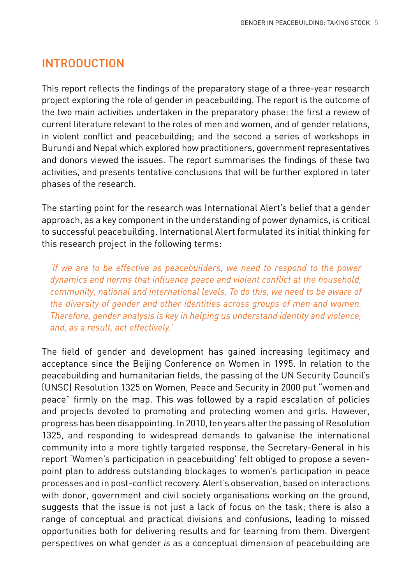## **INTRODUCTION**

This report reflects the findings of the preparatory stage of a three-year research project exploring the role of gender in peacebuilding. The report is the outcome of the two main activities undertaken in the preparatory phase: the first a review of current literature relevant to the roles of men and women, and of gender relations, in violent conflict and peacebuilding; and the second a series of workshops in Burundi and Nepal which explored how practitioners, government representatives and donors viewed the issues. The report summarises the findings of these two activities, and presents tentative conclusions that will be further explored in later phases of the research.

The starting point for the research was International Alert's belief that a gender approach, as a key component in the understanding of power dynamics, is critical to successful peacebuilding. International Alert formulated its initial thinking for this research project in the following terms:

*'If we are to be effective as peacebuilders, we need to respond to the power dynamics and norms that influence peace and violent conflict at the household, community, national and international levels. To do this, we need to be aware of the diversity of gender and other identities across groups of men and women. Therefore, gender analysis is key in helping us understand identity and violence, and, as a result, act effectively.'*

The field of gender and development has gained increasing legitimacy and acceptance since the Beijing Conference on Women in 1995. In relation to the peacebuilding and humanitarian fields, the passing of the UN Security Council's (UNSC) Resolution 1325 on Women, Peace and Security in 2000 put "women and peace" firmly on the map. This was followed by a rapid escalation of policies and projects devoted to promoting and protecting women and girls. However, progress has been disappointing. In 2010, ten years after the passing of Resolution 1325, and responding to widespread demands to galvanise the international community into a more tightly targeted response, the Secretary-General in his report 'Women's participation in peacebuilding' felt obliged to propose a sevenpoint plan to address outstanding blockages to women's participation in peace processes and in post-conflict recovery. Alert's observation, based on interactions with donor, government and civil society organisations working on the ground, suggests that the issue is not just a lack of focus on the task; there is also a range of conceptual and practical divisions and confusions, leading to missed opportunities both for delivering results and for learning from them. Divergent perspectives on what gender *is* as a conceptual dimension of peacebuilding are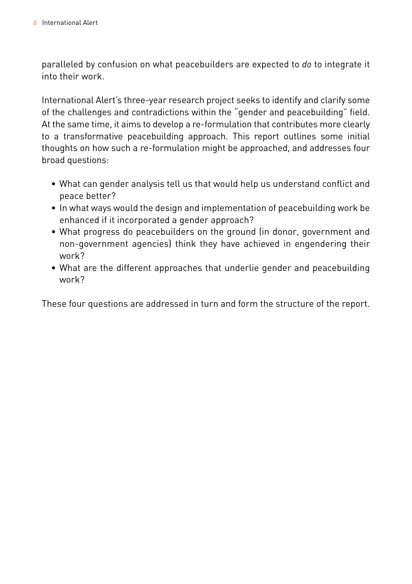paralleled by confusion on what peacebuilders are expected to *do* to integrate it into their work.

International Alert's three-year research project seeks to identify and clarify some of the challenges and contradictions within the "gender and peacebuilding" field. At the same time, it aims to develop a re-formulation that contributes more clearly to a transformative peacebuilding approach. This report outlines some initial thoughts on how such a re-formulation might be approached, and addresses four broad questions:

- • What can gender analysis tell us that would help us understand conflict and peace better?
- • In what ways would the design and implementation of peacebuilding work be enhanced if it incorporated a gender approach?
- • What progress do peacebuilders on the ground (in donor, government and non-government agencies) think they have achieved in engendering their work?
- • What are the different approaches that underlie gender and peacebuilding work?

These four questions are addressed in turn and form the structure of the report.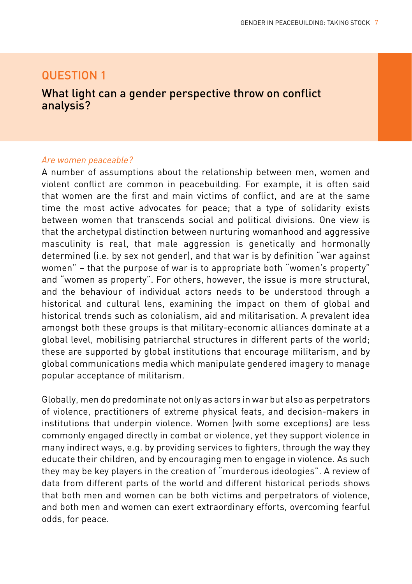## Question 1

### What light can a gender perspective throw on conflict analysis?

#### *Are women peaceable?*

A number of assumptions about the relationship between men, women and violent conflict are common in peacebuilding. For example, it is often said that women are the first and main victims of conflict, and are at the same time the most active advocates for peace; that a type of solidarity exists between women that transcends social and political divisions. One view is that the archetypal distinction between nurturing womanhood and aggressive masculinity is real, that male aggression is genetically and hormonally determined (i.e. by sex not gender), and that war is by definition "war against women" – that the purpose of war is to appropriate both "women's property" and "women as property". For others, however, the issue is more structural, and the behaviour of individual actors needs to be understood through a historical and cultural lens, examining the impact on them of global and historical trends such as colonialism, aid and militarisation. A prevalent idea amongst both these groups is that military-economic alliances dominate at a global level, mobilising patriarchal structures in different parts of the world; these are supported by global institutions that encourage militarism, and by global communications media which manipulate gendered imagery to manage popular acceptance of militarism.

Globally, men do predominate not only as actors in war but also as perpetrators of violence, practitioners of extreme physical feats, and decision-makers in institutions that underpin violence. Women (with some exceptions) are less commonly engaged directly in combat or violence, yet they support violence in many indirect ways, e.g. by providing services to fighters, through the way they educate their children, and by encouraging men to engage in violence. As such they may be key players in the creation of "murderous ideologies". A review of data from different parts of the world and different historical periods shows that both men and women can be both victims and perpetrators of violence, and both men and women can exert extraordinary efforts, overcoming fearful odds, for peace.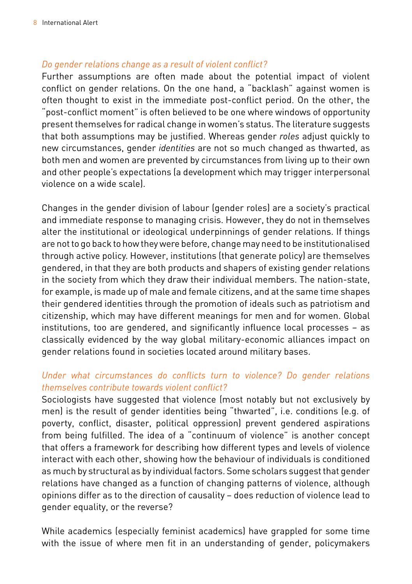#### *Do gender relations change as a result of violent conflict?*

Further assumptions are often made about the potential impact of violent conflict on gender relations. On the one hand, a "backlash" against women is often thought to exist in the immediate post-conflict period. On the other, the "post-conflict moment" is often believed to be one where windows of opportunity present themselves for radical change in women's status. The literature suggests that both assumptions may be justified. Whereas gender *roles* adjust quickly to new circumstances, gender *identities* are not so much changed as thwarted, as both men and women are prevented by circumstances from living up to their own and other people's expectations (a development which may trigger interpersonal violence on a wide scale).

Changes in the gender division of labour (gender roles) are a society's practical and immediate response to managing crisis. However, they do not in themselves alter the institutional or ideological underpinnings of gender relations. If things are not to go back to how they were before, change may need to be institutionalised through active policy. However, institutions (that generate policy) are themselves gendered, in that they are both products and shapers of existing gender relations in the society from which they draw their individual members. The nation-state, for example, is made up of male and female citizens, and at the same time shapes their gendered identities through the promotion of ideals such as patriotism and citizenship, which may have different meanings for men and for women. Global institutions, too are gendered, and significantly influence local processes – as classically evidenced by the way global military-economic alliances impact on gender relations found in societies located around military bases.

#### *Under what circumstances do conflicts turn to violence? Do gender relations themselves contribute towards violent conflict?*

Sociologists have suggested that violence (most notably but not exclusively by men) is the result of gender identities being "thwarted", i.e. conditions (e.g. of poverty, conflict, disaster, political oppression) prevent gendered aspirations from being fulfilled. The idea of a "continuum of violence" is another concept that offers a framework for describing how different types and levels of violence interact with each other, showing how the behaviour of individuals is conditioned as much by structural as by individual factors. Some scholars suggest that gender relations have changed as a function of changing patterns of violence, although opinions differ as to the direction of causality – does reduction of violence lead to gender equality, or the reverse?

While academics (especially feminist academics) have grappled for some time with the issue of where men fit in an understanding of gender, policymakers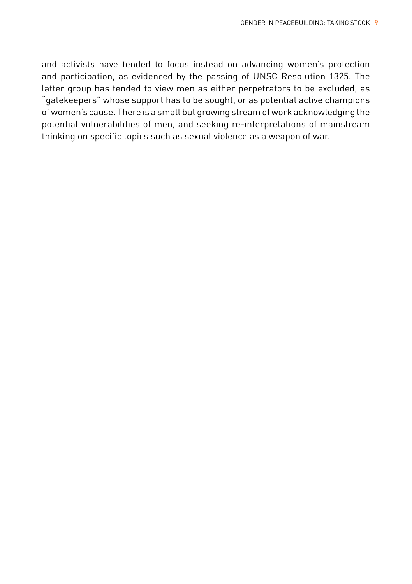and activists have tended to focus instead on advancing women's protection and participation, as evidenced by the passing of UNSC Resolution 1325. The latter group has tended to view men as either perpetrators to be excluded, as "gatekeepers" whose support has to be sought, or as potential active champions of women's cause. There is a small but growing stream of work acknowledging the potential vulnerabilities of men, and seeking re-interpretations of mainstream thinking on specific topics such as sexual violence as a weapon of war.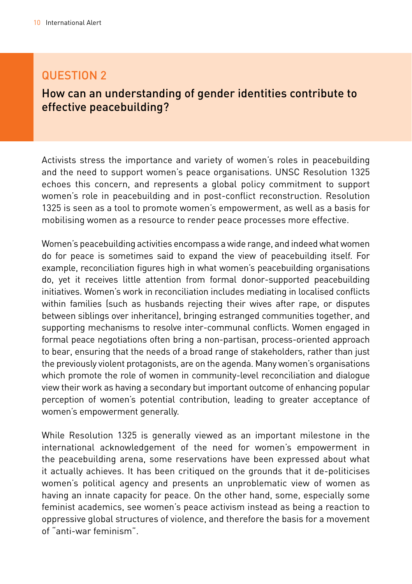## question 2

## How can an understanding of gender identities contribute to effective peacebuilding?

Activists stress the importance and variety of women's roles in peacebuilding and the need to support women's peace organisations. UNSC Resolution 1325 echoes this concern, and represents a global policy commitment to support women's role in peacebuilding and in post-conflict reconstruction. Resolution 1325 is seen as a tool to promote women's empowerment, as well as a basis for mobilising women as a resource to render peace processes more effective.

Women's peacebuilding activities encompass a wide range, and indeed what women do for peace is sometimes said to expand the view of peacebuilding itself. For example, reconciliation figures high in what women's peacebuilding organisations do, yet it receives little attention from formal donor-supported peacebuilding initiatives. Women's work in reconciliation includes mediating in localised conflicts within families (such as husbands rejecting their wives after rape, or disputes between siblings over inheritance), bringing estranged communities together, and supporting mechanisms to resolve inter-communal conflicts. Women engaged in formal peace negotiations often bring a non-partisan, process-oriented approach to bear, ensuring that the needs of a broad range of stakeholders, rather than just the previously violent protagonists, are on the agenda. Many women's organisations which promote the role of women in community-level reconciliation and dialogue view their work as having a secondary but important outcome of enhancing popular perception of women's potential contribution, leading to greater acceptance of women's empowerment generally.

While Resolution 1325 is generally viewed as an important milestone in the international acknowledgement of the need for women's empowerment in the peacebuilding arena, some reservations have been expressed about what it actually achieves. It has been critiqued on the grounds that it de-politicises women's political agency and presents an unproblematic view of women as having an innate capacity for peace. On the other hand, some, especially some feminist academics, see women's peace activism instead as being a reaction to oppressive global structures of violence, and therefore the basis for a movement of "anti-war feminism".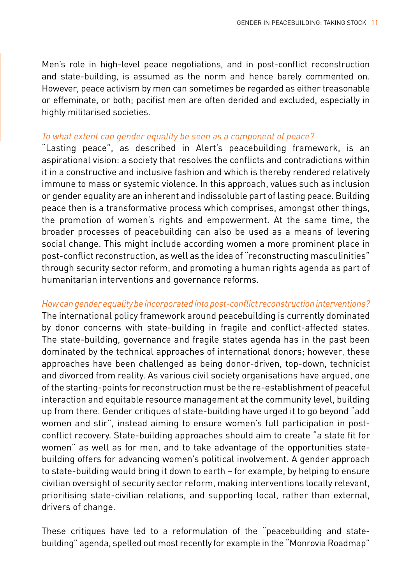Men's role in high-level peace negotiations, and in post-conflict reconstruction and state-building, is assumed as the norm and hence barely commented on. However, peace activism by men can sometimes be regarded as either treasonable or effeminate, or both; pacifist men are often derided and excluded, especially in highly militarised societies.

#### *To what extent can gender equality be seen as a component of peace?*

"Lasting peace", as described in Alert's peacebuilding framework, is an aspirational vision: a society that resolves the conflicts and contradictions within it in a constructive and inclusive fashion and which is thereby rendered relatively immune to mass or systemic violence. In this approach, values such as inclusion or gender equality are an inherent and indissoluble part of lasting peace. Building peace then is a transformative process which comprises, amongst other things, the promotion of women's rights and empowerment. At the same time, the broader processes of peacebuilding can also be used as a means of levering social change. This might include according women a more prominent place in post-conflict reconstruction, as well as the idea of "reconstructing masculinities" through security sector reform, and promoting a human rights agenda as part of humanitarian interventions and governance reforms.

#### *How can gender equality be incorporated into post-conflict reconstruction interventions?*

The international policy framework around peacebuilding is currently dominated by donor concerns with state-building in fragile and conflict-affected states. The state-building, governance and fragile states agenda has in the past been dominated by the technical approaches of international donors; however, these approaches have been challenged as being donor-driven, top-down, technicist and divorced from reality. As various civil society organisations have argued, one of the starting-points for reconstruction must be the re-establishment of peaceful interaction and equitable resource management at the community level, building up from there. Gender critiques of state-building have urged it to go beyond "add women and stir", instead aiming to ensure women's full participation in postconflict recovery. State-building approaches should aim to create "a state fit for women" as well as for men, and to take advantage of the opportunities statebuilding offers for advancing women's political involvement. A gender approach to state-building would bring it down to earth – for example, by helping to ensure civilian oversight of security sector reform, making interventions locally relevant, prioritising state-civilian relations, and supporting local, rather than external, drivers of change.

These critiques have led to a reformulation of the "peacebuilding and statebuilding" agenda, spelled out most recently for example in the "Monrovia Roadmap"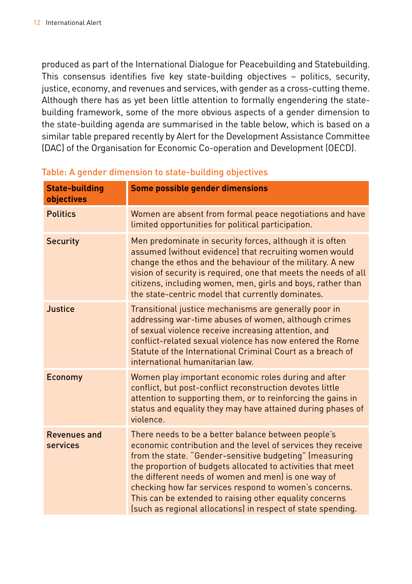produced as part of the International Dialogue for Peacebuilding and Statebuilding. This consensus identifies five key state-building objectives – politics, security, justice, economy, and revenues and services, with gender as a cross-cutting theme. Although there has as yet been little attention to formally engendering the statebuilding framework, some of the more obvious aspects of a gender dimension to the state-building agenda are summarised in the table below, which is based on a similar table prepared recently by Alert for the Development Assistance Committee (DAC) of the Organisation for Economic Co-operation and Development (OECD).

| <b>State-building</b><br>objectives | Some possible gender dimensions                                                                                                                                                                                                                                                                                                                                                                                                                                                           |
|-------------------------------------|-------------------------------------------------------------------------------------------------------------------------------------------------------------------------------------------------------------------------------------------------------------------------------------------------------------------------------------------------------------------------------------------------------------------------------------------------------------------------------------------|
| <b>Politics</b>                     | Women are absent from formal peace negotiations and have<br>limited opportunities for political participation.                                                                                                                                                                                                                                                                                                                                                                            |
| <b>Security</b>                     | Men predominate in security forces, although it is often<br>assumed (without evidence) that recruiting women would<br>change the ethos and the behaviour of the military. A new<br>vision of security is required, one that meets the needs of all<br>citizens, including women, men, girls and boys, rather than<br>the state-centric model that currently dominates.                                                                                                                    |
| Justice                             | Transitional justice mechanisms are generally poor in<br>addressing war-time abuses of women, although crimes<br>of sexual violence receive increasing attention, and<br>conflict-related sexual violence has now entered the Rome<br>Statute of the International Criminal Court as a breach of<br>international humanitarian law.                                                                                                                                                       |
| <b>Economy</b>                      | Women play important economic roles during and after<br>conflict, but post-conflict reconstruction devotes little<br>attention to supporting them, or to reinforcing the gains in<br>status and equality they may have attained during phases of<br>violence.                                                                                                                                                                                                                             |
| <b>Revenues and</b><br>services     | There needs to be a better balance between people's<br>economic contribution and the level of services they receive<br>from the state. "Gender-sensitive budgeting" (measuring<br>the proportion of budgets allocated to activities that meet<br>the different needs of women and men) is one way of<br>checking how far services respond to women's concerns.<br>This can be extended to raising other equality concerns<br>(such as regional allocations) in respect of state spending. |

### Table: A gender dimension to state-building objectives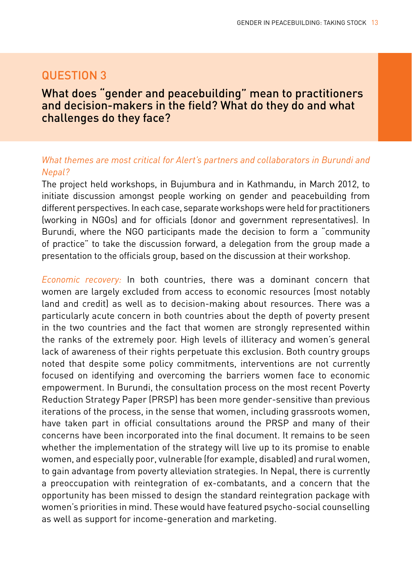## question 3

## What does "gender and peacebuilding" mean to practitioners and decision-makers in the field? What do they do and what challenges do they face?

#### *What themes are most critical for Alert's partners and collaborators in Burundi and Nepal?*

The project held workshops, in Bujumbura and in Kathmandu, in March 2012, to initiate discussion amongst people working on gender and peacebuilding from different perspectives. In each case, separate workshops were held for practitioners (working in NGOs) and for officials (donor and government representatives). In Burundi, where the NGO participants made the decision to form a "community of practice" to take the discussion forward, a delegation from the group made a presentation to the officials group, based on the discussion at their workshop.

*Economic recovery:* In both countries, there was a dominant concern that women are largely excluded from access to economic resources (most notably land and credit) as well as to decision-making about resources. There was a particularly acute concern in both countries about the depth of poverty present in the two countries and the fact that women are strongly represented within the ranks of the extremely poor. High levels of illiteracy and women's general lack of awareness of their rights perpetuate this exclusion. Both country groups noted that despite some policy commitments, interventions are not currently focused on identifying and overcoming the barriers women face to economic empowerment. In Burundi, the consultation process on the most recent Poverty Reduction Strategy Paper (PRSP) has been more gender-sensitive than previous iterations of the process, in the sense that women, including grassroots women, have taken part in official consultations around the PRSP and many of their concerns have been incorporated into the final document. It remains to be seen whether the implementation of the strategy will live up to its promise to enable women, and especially poor, vulnerable (for example, disabled) and rural women, to gain advantage from poverty alleviation strategies. In Nepal, there is currently a preoccupation with reintegration of ex-combatants, and a concern that the opportunity has been missed to design the standard reintegration package with women's priorities in mind. These would have featured psycho-social counselling as well as support for income-generation and marketing.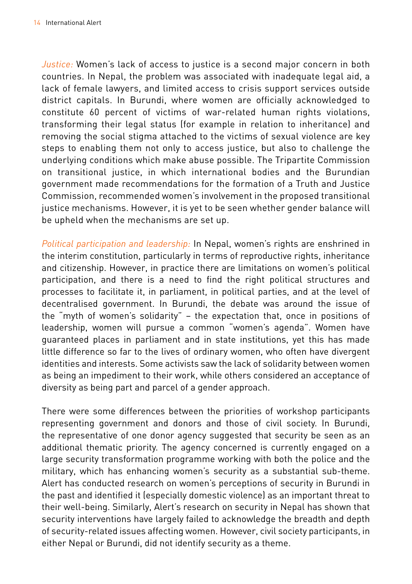*Justice:* Women's lack of access to justice is a second major concern in both countries. In Nepal, the problem was associated with inadequate legal aid, a lack of female lawyers, and limited access to crisis support services outside district capitals. In Burundi, where women are officially acknowledged to constitute 60 percent of victims of war-related human rights violations, transforming their legal status (for example in relation to inheritance) and removing the social stigma attached to the victims of sexual violence are key steps to enabling them not only to access justice, but also to challenge the underlying conditions which make abuse possible. The Tripartite Commission on transitional justice, in which international bodies and the Burundian government made recommendations for the formation of a Truth and Justice Commission, recommended women's involvement in the proposed transitional justice mechanisms. However, it is yet to be seen whether gender balance will be upheld when the mechanisms are set up.

*Political participation and leadership:* In Nepal, women's rights are enshrined in the interim constitution, particularly in terms of reproductive rights, inheritance and citizenship. However, in practice there are limitations on women's political participation, and there is a need to find the right political structures and processes to facilitate it, in parliament, in political parties, and at the level of decentralised government. In Burundi, the debate was around the issue of the "myth of women's solidarity" – the expectation that, once in positions of leadership, women will pursue a common "women's agenda". Women have guaranteed places in parliament and in state institutions, yet this has made little difference so far to the lives of ordinary women, who often have divergent identities and interests. Some activists saw the lack of solidarity between women as being an impediment to their work, while others considered an acceptance of diversity as being part and parcel of a gender approach.

There were some differences between the priorities of workshop participants representing government and donors and those of civil society. In Burundi, the representative of one donor agency suggested that security be seen as an additional thematic priority. The agency concerned is currently engaged on a large security transformation programme working with both the police and the military, which has enhancing women's security as a substantial sub-theme. Alert has conducted research on women's perceptions of security in Burundi in the past and identified it (especially domestic violence) as an important threat to their well-being. Similarly, Alert's research on security in Nepal has shown that security interventions have largely failed to acknowledge the breadth and depth of security-related issues affecting women. However, civil society participants, in either Nepal or Burundi, did not identify security as a theme.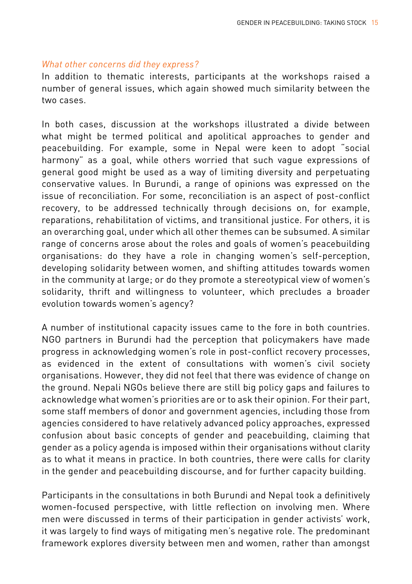#### *What other concerns did they express?*

In addition to thematic interests, participants at the workshops raised a number of general issues, which again showed much similarity between the two cases.

In both cases, discussion at the workshops illustrated a divide between what might be termed political and apolitical approaches to gender and peacebuilding. For example, some in Nepal were keen to adopt "social harmony" as a goal, while others worried that such vague expressions of general good might be used as a way of limiting diversity and perpetuating conservative values. In Burundi, a range of opinions was expressed on the issue of reconciliation. For some, reconciliation is an aspect of post-conflict recovery, to be addressed technically through decisions on, for example, reparations, rehabilitation of victims, and transitional justice. For others, it is an overarching goal, under which all other themes can be subsumed. A similar range of concerns arose about the roles and goals of women's peacebuilding organisations: do they have a role in changing women's self-perception, developing solidarity between women, and shifting attitudes towards women in the community at large; or do they promote a stereotypical view of women's solidarity, thrift and willingness to volunteer, which precludes a broader evolution towards women's agency?

A number of institutional capacity issues came to the fore in both countries. NGO partners in Burundi had the perception that policymakers have made progress in acknowledging women's role in post-conflict recovery processes, as evidenced in the extent of consultations with women's civil society organisations. However, they did not feel that there was evidence of change on the ground. Nepali NGOs believe there are still big policy gaps and failures to acknowledge what women's priorities are or to ask their opinion. For their part, some staff members of donor and government agencies, including those from agencies considered to have relatively advanced policy approaches, expressed confusion about basic concepts of gender and peacebuilding, claiming that gender as a policy agenda is imposed within their organisations without clarity as to what it means in practice. In both countries, there were calls for clarity in the gender and peacebuilding discourse, and for further capacity building.

Participants in the consultations in both Burundi and Nepal took a definitively women-focused perspective, with little reflection on involving men. Where men were discussed in terms of their participation in gender activists' work, it was largely to find ways of mitigating men's negative role. The predominant framework explores diversity between men and women, rather than amongst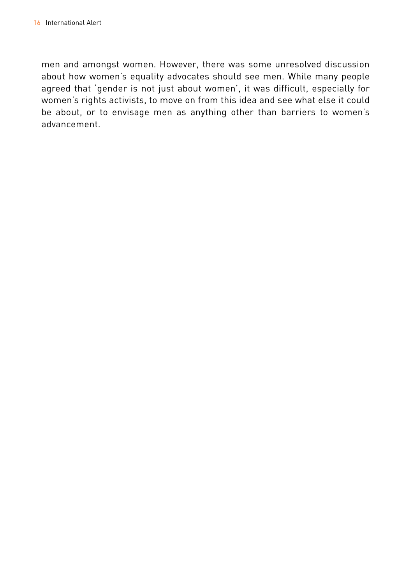men and amongst women. However, there was some unresolved discussion about how women's equality advocates should see men. While many people agreed that 'gender is not just about women', it was difficult, especially for women's rights activists, to move on from this idea and see what else it could be about, or to envisage men as anything other than barriers to women's advancement.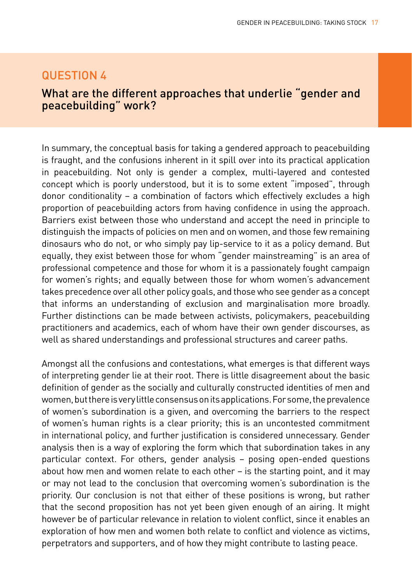## Question 4

## What are the different approaches that underlie "gender and peacebuilding" work?

In summary, the conceptual basis for taking a gendered approach to peacebuilding is fraught, and the confusions inherent in it spill over into its practical application in peacebuilding. Not only is gender a complex, multi-layered and contested concept which is poorly understood, but it is to some extent "imposed", through donor conditionality – a combination of factors which effectively excludes a high proportion of peacebuilding actors from having confidence in using the approach. Barriers exist between those who understand and accept the need in principle to distinguish the impacts of policies on men and on women, and those few remaining dinosaurs who do not, or who simply pay lip-service to it as a policy demand. But equally, they exist between those for whom "gender mainstreaming" is an area of professional competence and those for whom it is a passionately fought campaign for women's rights; and equally between those for whom women's advancement takes precedence over all other policy goals, and those who see gender as a concept that informs an understanding of exclusion and marginalisation more broadly. Further distinctions can be made between activists, policymakers, peacebuilding practitioners and academics, each of whom have their own gender discourses, as well as shared understandings and professional structures and career paths.

Amongst all the confusions and contestations, what emerges is that different ways of interpreting gender lie at their root. There is little disagreement about the basic definition of gender as the socially and culturally constructed identities of men and women, but there is very little consensus on its applications. For some, the prevalence of women's subordination is a given, and overcoming the barriers to the respect of women's human rights is a clear priority; this is an uncontested commitment in international policy, and further justification is considered unnecessary. Gender analysis then is a way of exploring the form which that subordination takes in any particular context. For others, gender analysis – posing open-ended questions about how men and women relate to each other – is the starting point, and it may or may not lead to the conclusion that overcoming women's subordination is the priority. Our conclusion is not that either of these positions is wrong, but rather that the second proposition has not yet been given enough of an airing. It might however be of particular relevance in relation to violent conflict, since it enables an exploration of how men and women both relate to conflict and violence as victims, perpetrators and supporters, and of how they might contribute to lasting peace.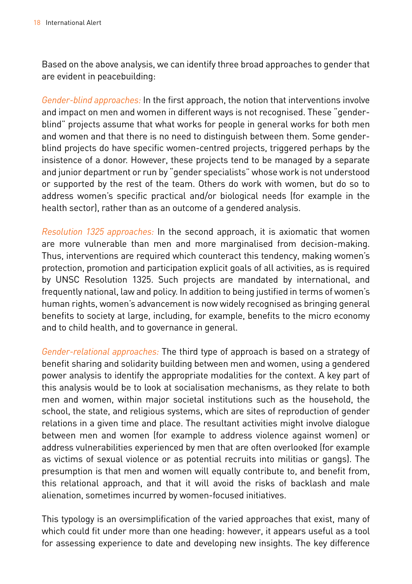Based on the above analysis, we can identify three broad approaches to gender that are evident in peacebuilding:

*Gender-blind approaches:* In the first approach, the notion that interventions involve and impact on men and women in different ways is not recognised. These "genderblind" projects assume that what works for people in general works for both men and women and that there is no need to distinguish between them. Some genderblind projects do have specific women-centred projects, triggered perhaps by the insistence of a donor. However, these projects tend to be managed by a separate and junior department or run by "gender specialists" whose work is not understood or supported by the rest of the team. Others do work with women, but do so to address women's specific practical and/or biological needs (for example in the health sector), rather than as an outcome of a gendered analysis.

*Resolution 1325 approaches:* In the second approach, it is axiomatic that women are more vulnerable than men and more marginalised from decision-making. Thus, interventions are required which counteract this tendency, making women's protection, promotion and participation explicit goals of all activities, as is required by UNSC Resolution 1325. Such projects are mandated by international, and frequently national, law and policy. In addition to being justified in terms of women's human rights, women's advancement is now widely recognised as bringing general benefits to society at large, including, for example, benefits to the micro economy and to child health, and to governance in general.

*Gender-relational approaches:* The third type of approach is based on a strategy of benefit sharing and solidarity building between men and women, using a gendered power analysis to identify the appropriate modalities for the context. A key part of this analysis would be to look at socialisation mechanisms, as they relate to both men and women, within major societal institutions such as the household, the school, the state, and religious systems, which are sites of reproduction of gender relations in a given time and place. The resultant activities might involve dialogue between men and women (for example to address violence against women) or address vulnerabilities experienced by men that are often overlooked (for example as victims of sexual violence or as potential recruits into militias or gangs). The presumption is that men and women will equally contribute to, and benefit from, this relational approach, and that it will avoid the risks of backlash and male alienation, sometimes incurred by women-focused initiatives.

This typology is an oversimplification of the varied approaches that exist, many of which could fit under more than one heading: however, it appears useful as a tool for assessing experience to date and developing new insights. The key difference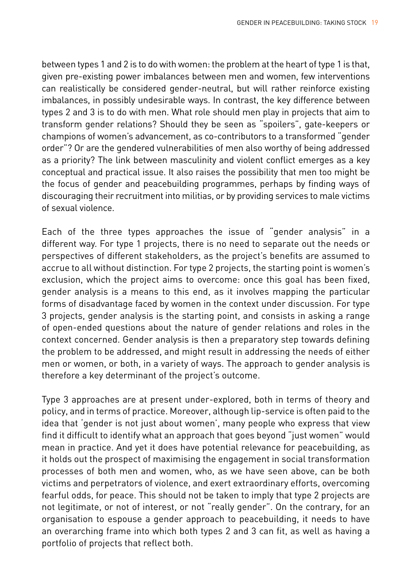between types 1 and 2 is to do with women: the problem at the heart of type 1 is that, given pre-existing power imbalances between men and women, few interventions can realistically be considered gender-neutral, but will rather reinforce existing imbalances, in possibly undesirable ways. In contrast, the key difference between types 2 and 3 is to do with men. What role should men play in projects that aim to transform gender relations? Should they be seen as "spoilers", gate-keepers or champions of women's advancement, as co-contributors to a transformed "gender order"? Or are the gendered vulnerabilities of men also worthy of being addressed as a priority? The link between masculinity and violent conflict emerges as a key conceptual and practical issue. It also raises the possibility that men too might be the focus of gender and peacebuilding programmes, perhaps by finding ways of discouraging their recruitment into militias, or by providing services to male victims of sexual violence.

Each of the three types approaches the issue of "gender analysis" in a different way. For type 1 projects, there is no need to separate out the needs or perspectives of different stakeholders, as the project's benefits are assumed to accrue to all without distinction. For type 2 projects, the starting point is women's exclusion, which the project aims to overcome: once this goal has been fixed, gender analysis is a means to this end, as it involves mapping the particular forms of disadvantage faced by women in the context under discussion. For type 3 projects, gender analysis is the starting point, and consists in asking a range of open-ended questions about the nature of gender relations and roles in the context concerned. Gender analysis is then a preparatory step towards defining the problem to be addressed, and might result in addressing the needs of either men or women, or both, in a variety of ways. The approach to gender analysis is therefore a key determinant of the project's outcome.

Type 3 approaches are at present under-explored, both in terms of theory and policy, and in terms of practice. Moreover, although lip-service is often paid to the idea that 'gender is not just about women', many people who express that view find it difficult to identify what an approach that goes beyond "just women" would mean in practice. And yet it does have potential relevance for peacebuilding, as it holds out the prospect of maximising the engagement in social transformation processes of both men and women, who, as we have seen above, can be both victims and perpetrators of violence, and exert extraordinary efforts, overcoming fearful odds, for peace. This should not be taken to imply that type 2 projects are not legitimate, or not of interest, or not "really gender". On the contrary, for an organisation to espouse a gender approach to peacebuilding, it needs to have an overarching frame into which both types 2 and 3 can fit, as well as having a portfolio of projects that reflect both.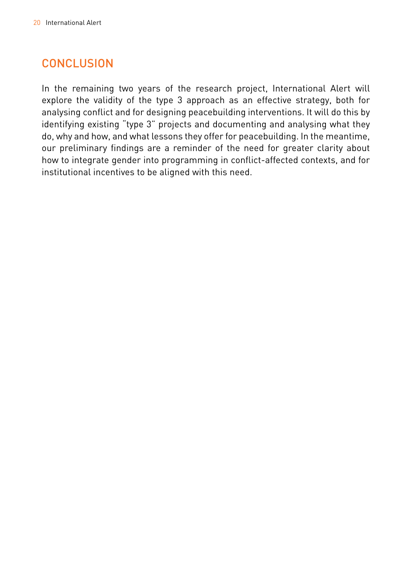# **CONCLUSION**

In the remaining two years of the research project, International Alert will explore the validity of the type 3 approach as an effective strategy, both for analysing conflict and for designing peacebuilding interventions. It will do this by identifying existing "type 3" projects and documenting and analysing what they do, why and how, and what lessons they offer for peacebuilding. In the meantime, our preliminary findings are a reminder of the need for greater clarity about how to integrate gender into programming in conflict-affected contexts, and for institutional incentives to be aligned with this need.